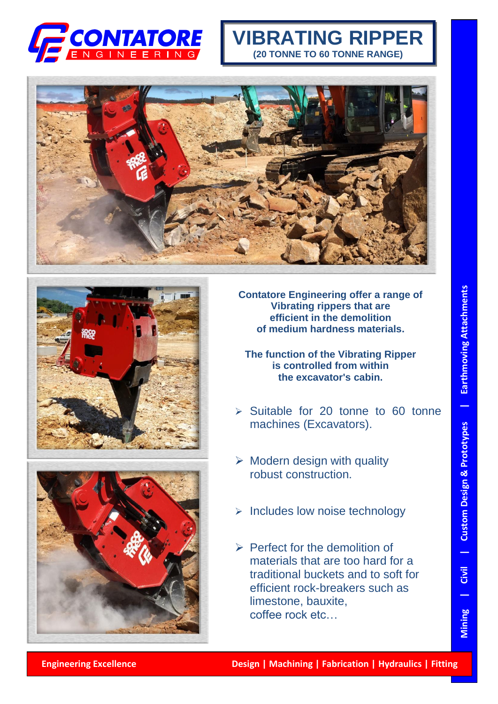

## **VIBRATING RIPPER (20 TONNE TO 60 TONNE RANGE)**







**Contatore Engineering offer a range of Vibrating rippers that are efficient in the demolition of medium hardness materials.**

**The function of the Vibrating Ripper is controlled from within the excavator's cabin.**

- ➢ Suitable for 20 tonne to 60 tonne machines (Excavators).
- $\triangleright$  Modern design with quality robust construction.
- ➢ Includes low noise technology
- $\triangleright$  Perfect for the demolition of materials that are too hard for a traditional buckets and to soft for efficient rock-breakers such as limestone, bauxite, coffee rock etc…